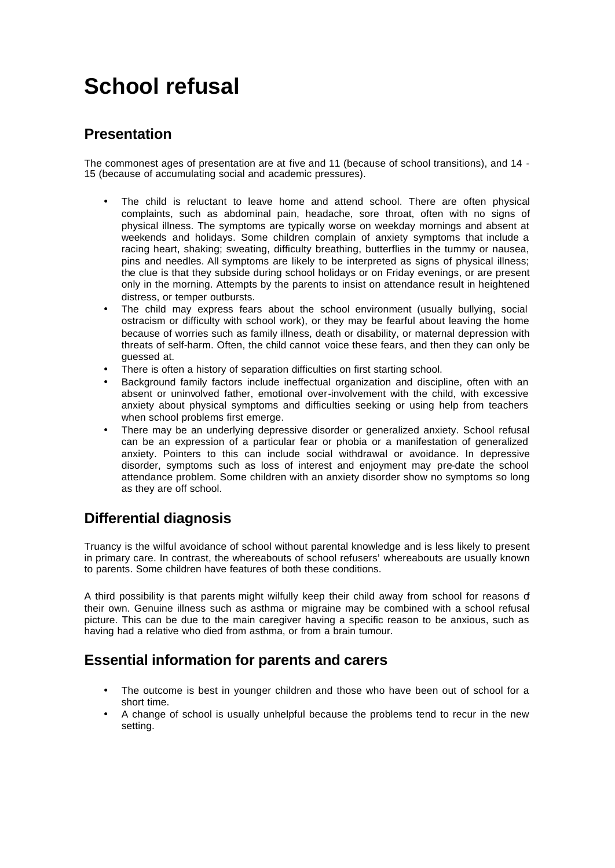# **School refusal**

## **Presentation**

The commonest ages of presentation are at five and 11 (because of school transitions), and 14 - 15 (because of accumulating social and academic pressures).

- The child is reluctant to leave home and attend school. There are often physical complaints, such as abdominal pain, headache, sore throat, often with no signs of physical illness. The symptoms are typically worse on weekday mornings and absent at weekends and holidays. Some children complain of anxiety symptoms that include a racing heart, shaking; sweating, difficulty breathing, butterflies in the tummy or nausea, pins and needles. All symptoms are likely to be interpreted as signs of physical illness; the clue is that they subside during school holidays or on Friday evenings, or are present only in the morning. Attempts by the parents to insist on attendance result in heightened distress, or temper outbursts.
- The child may express fears about the school environment (usually bullying, social ostracism or difficulty with school work), or they may be fearful about leaving the home because of worries such as family illness, death or disability, or maternal depression with threats of self-harm. Often, the child cannot voice these fears, and then they can only be guessed at.
- There is often a history of separation difficulties on first starting school.
- Background family factors include ineffectual organization and discipline, often with an absent or uninvolved father, emotional over-involvement with the child, with excessive anxiety about physical symptoms and difficulties seeking or using help from teachers when school problems first emerge.
- There may be an underlying depressive disorder or generalized anxiety. School refusal can be an expression of a particular fear or phobia or a manifestation of generalized anxiety. Pointers to this can include social withdrawal or avoidance. In depressive disorder, symptoms such as loss of interest and enjoyment may pre-date the school attendance problem. Some children with an anxiety disorder show no symptoms so long as they are off school.

# **Differential diagnosis**

Truancy is the wilful avoidance of school without parental knowledge and is less likely to present in primary care. In contrast, the whereabouts of school refusers' whereabouts are usually known to parents. Some children have features of both these conditions.

A third possibility is that parents might wilfully keep their child away from school for reasons of their own. Genuine illness such as asthma or migraine may be combined with a school refusal picture. This can be due to the main caregiver having a specific reason to be anxious, such as having had a relative who died from asthma, or from a brain tumour.

## **Essential information for parents and carers**

- The outcome is best in younger children and those who have been out of school for a short time.
- A change of school is usually unhelpful because the problems tend to recur in the new setting.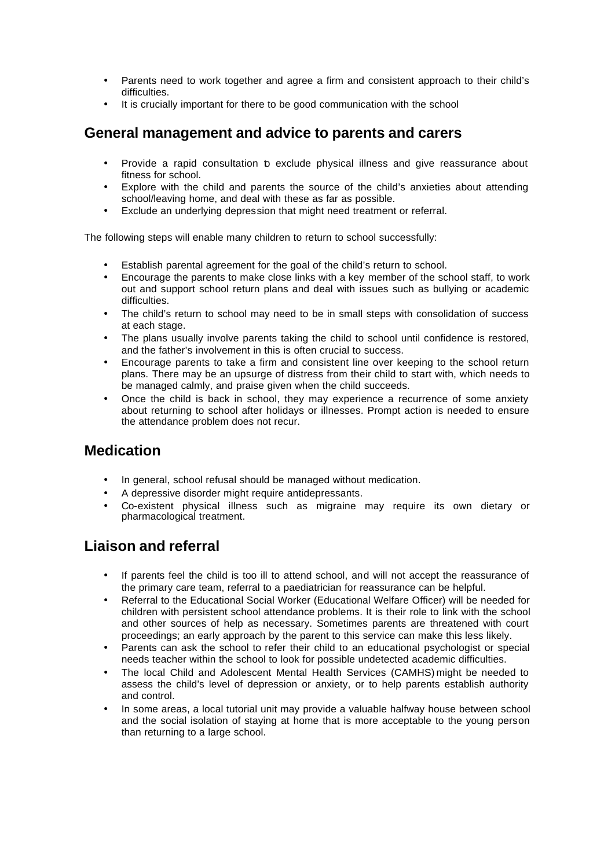- Parents need to work together and agree a firm and consistent approach to their child's difficulties.
- It is crucially important for there to be good communication with the school

### **General management and advice to parents and carers**

- Provide a rapid consultation b exclude physical illness and give reassurance about fitness for school.
- Explore with the child and parents the source of the child's anxieties about attending school/leaving home, and deal with these as far as possible.
- Exclude an underlying depression that might need treatment or referral.

The following steps will enable many children to return to school successfully:

- Establish parental agreement for the goal of the child's return to school.
- Encourage the parents to make close links with a key member of the school staff, to work out and support school return plans and deal with issues such as bullying or academic difficulties.
- The child's return to school may need to be in small steps with consolidation of success at each stage.
- The plans usually involve parents taking the child to school until confidence is restored, and the father's involvement in this is often crucial to success.
- Encourage parents to take a firm and consistent line over keeping to the school return plans. There may be an upsurge of distress from their child to start with, which needs to be managed calmly, and praise given when the child succeeds.
- Once the child is back in school, they may experience a recurrence of some anxiety about returning to school after holidays or illnesses. Prompt action is needed to ensure the attendance problem does not recur.

#### **Medication**

- In general, school refusal should be managed without medication.
- A depressive disorder might require antidepressants.
- Co-existent physical illness such as migraine may require its own dietary or pharmacological treatment.

## **Liaison and referral**

- If parents feel the child is too ill to attend school, and will not accept the reassurance of the primary care team, referral to a paediatrician for reassurance can be helpful.
- Referral to the Educational Social Worker (Educational Welfare Officer) will be needed for children with persistent school attendance problems. It is their role to link with the school and other sources of help as necessary. Sometimes parents are threatened with court proceedings; an early approach by the parent to this service can make this less likely.
- Parents can ask the school to refer their child to an educational psychologist or special needs teacher within the school to look for possible undetected academic difficulties.
- The local Child and Adolescent Mental Health Services (CAMHS) might be needed to assess the child's level of depression or anxiety, or to help parents establish authority and control.
- In some areas, a local tutorial unit may provide a valuable halfway house between school and the social isolation of staying at home that is more acceptable to the young person than returning to a large school.